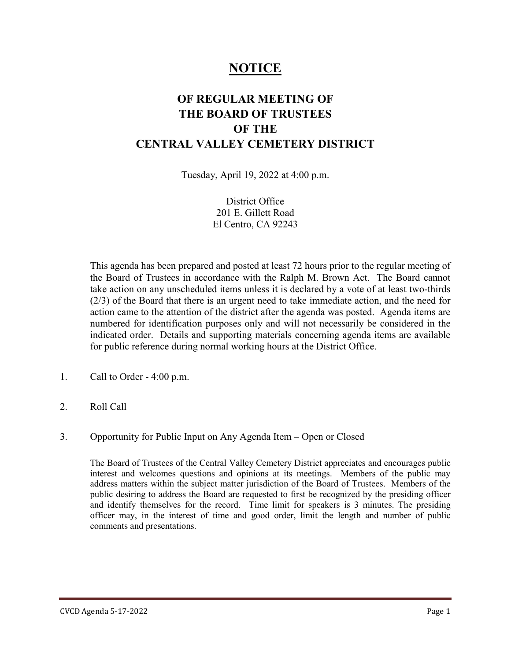# **NOTICE**

## **OF REGULAR MEETING OF THE BOARD OF TRUSTEES OF THE CENTRAL VALLEY CEMETERY DISTRICT**

Tuesday, April 19, 2022 at 4:00 p.m.

District Office 201 E. Gillett Road El Centro, CA 92243

This agenda has been prepared and posted at least 72 hours prior to the regular meeting of the Board of Trustees in accordance with the Ralph M. Brown Act. The Board cannot take action on any unscheduled items unless it is declared by a vote of at least two-thirds (2/3) of the Board that there is an urgent need to take immediate action, and the need for action came to the attention of the district after the agenda was posted. Agenda items are numbered for identification purposes only and will not necessarily be considered in the indicated order. Details and supporting materials concerning agenda items are available for public reference during normal working hours at the District Office.

- 1. Call to Order 4:00 p.m.
- 2. Roll Call
- 3. Opportunity for Public Input on Any Agenda Item Open or Closed

The Board of Trustees of the Central Valley Cemetery District appreciates and encourages public interest and welcomes questions and opinions at its meetings. Members of the public may address matters within the subject matter jurisdiction of the Board of Trustees. Members of the public desiring to address the Board are requested to first be recognized by the presiding officer and identify themselves for the record. Time limit for speakers is 3 minutes. The presiding officer may, in the interest of time and good order, limit the length and number of public comments and presentations.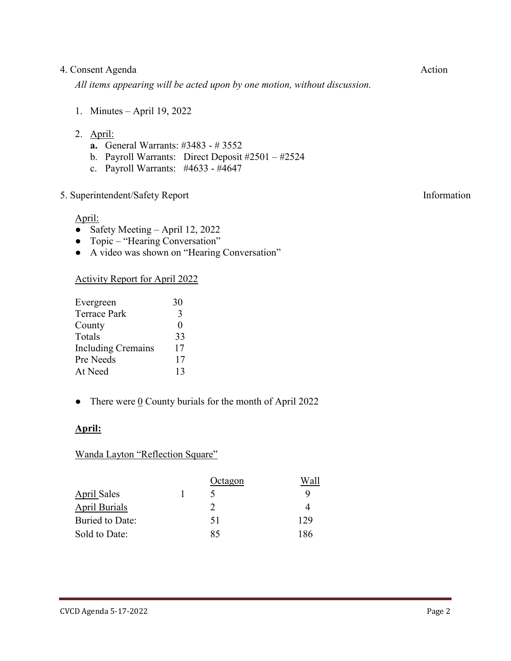#### 4. Consent Agenda Action

*All items appearing will be acted upon by one motion, without discussion.*

- 1. Minutes April 19, 2022
- 2. April:
	- **a.** General Warrants: #3483 # 3552
	- b. Payroll Warrants: Direct Deposit #2501 #2524
	- c. Payroll Warrants: #4633 #4647

#### 5. Superintendent/Safety Report Information

April:

- Safety Meeting April 12, 2022
- Topic "Hearing Conversation"
- A video was shown on "Hearing Conversation"

#### Activity Report for April 2022

| Evergreen                 | 30           |  |
|---------------------------|--------------|--|
| <b>Terrace Park</b>       | 3            |  |
| County                    | $\mathbf{I}$ |  |
| Totals                    | 33           |  |
| <b>Including Cremains</b> | 17           |  |
| Pre Needs                 | 17           |  |
| At Need                   | 13           |  |

• There were  $\underline{0}$  County burials for the month of April 2022

#### **April:**

#### Wanda Layton "Reflection Square"

|                        | Octagon | Wall |
|------------------------|---------|------|
| April Sales            |         | Q    |
| <b>April Burials</b>   | 2       |      |
| <b>Buried to Date:</b> | 51      | 129  |
| Sold to Date:          | 85      | 186  |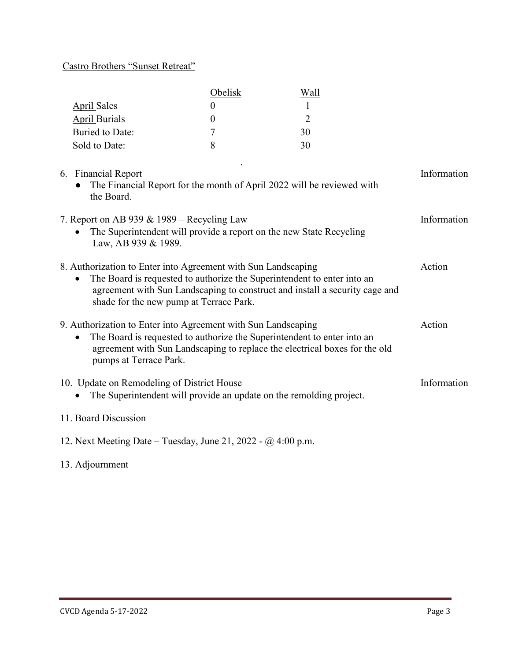### Castro Brothers "Sunset Retreat"

|                      | <b>Obelisk</b> |    |
|----------------------|----------------|----|
| <b>April Sales</b>   |                |    |
| <b>April Burials</b> |                |    |
| Buried to Date:      |                | 30 |
| Sold to Date:        |                | 30 |
|                      |                |    |

| 6. Financial Report<br>The Financial Report for the month of April 2022 will be reviewed with<br>the Board.                                                                                                                                                        | Information |
|--------------------------------------------------------------------------------------------------------------------------------------------------------------------------------------------------------------------------------------------------------------------|-------------|
| 7. Report on AB 939 & 1989 – Recycling Law<br>The Superintendent will provide a report on the new State Recycling<br>Law, AB 939 & 1989.                                                                                                                           | Information |
| 8. Authorization to Enter into Agreement with Sun Landscaping<br>The Board is requested to authorize the Superintendent to enter into an<br>agreement with Sun Landscaping to construct and install a security cage and<br>shade for the new pump at Terrace Park. | Action      |
| 9. Authorization to Enter into Agreement with Sun Landscaping<br>The Board is requested to authorize the Superintendent to enter into an<br>agreement with Sun Landscaping to replace the electrical boxes for the old<br>pumps at Terrace Park.                   | Action      |
| 10. Update on Remodeling of District House<br>The Superintendent will provide an update on the remolding project.                                                                                                                                                  | Information |
| 11. Board Discussion                                                                                                                                                                                                                                               |             |

12. Next Meeting Date – Tuesday, June 21, 2022 - @ 4:00 p.m.

### 13. Adjournment